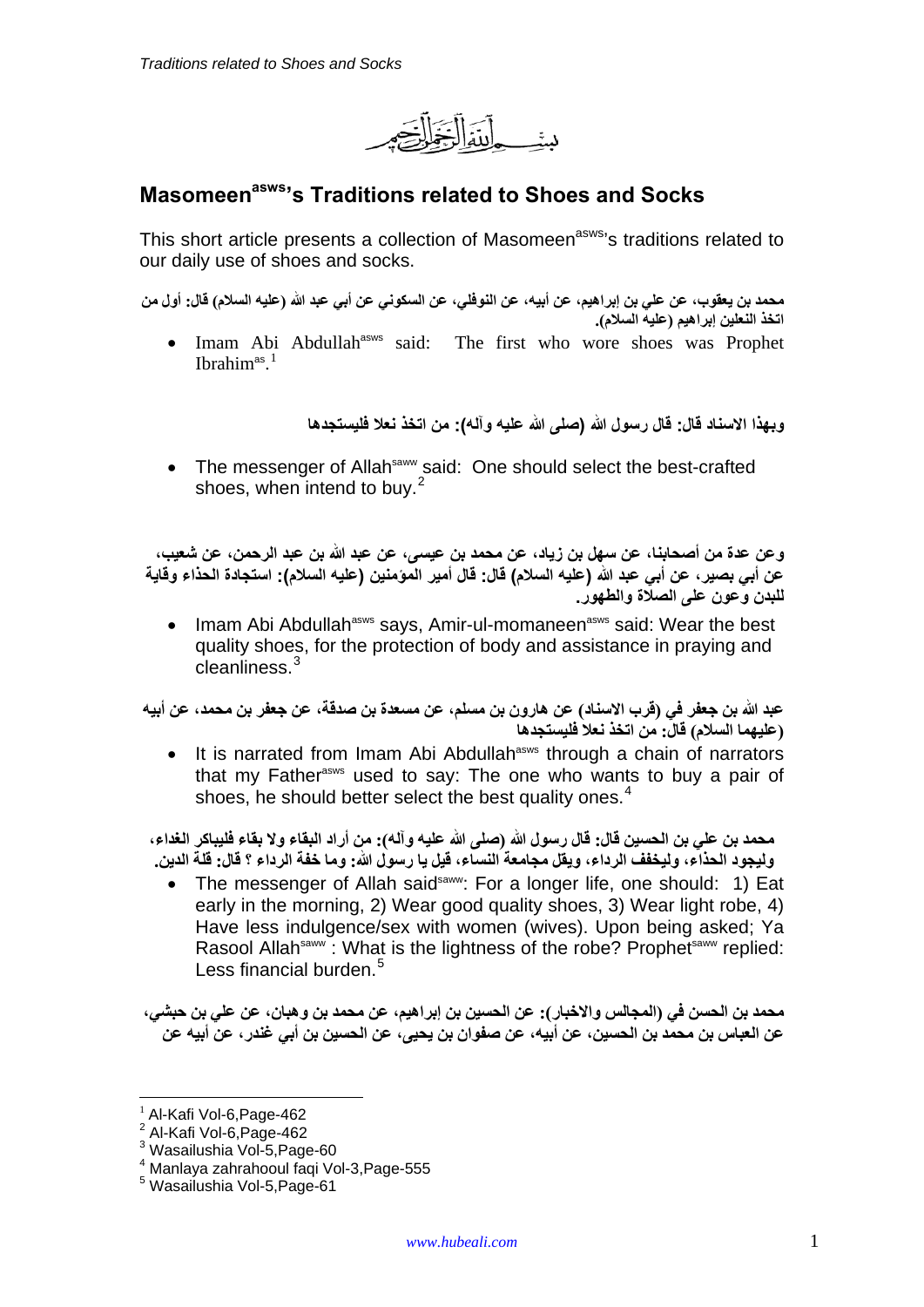دخان

# **Masomeen<sup>asws</sup>'s Traditions related to Shoes and Socks**

This short article presents a collection of Masomeen<sup>asws</sup>'s traditions related to our daily use of shoes and socks.

محمد بن يعقوب، عن علي بن إبراهيم، عن أبيه، عن النوفلي، عن السكوني عن أبي عبد الله (عليه السلام) قال: أول من **.(السالم عليه (إبراھيم النعلين اتخذ**

• Imam Abi Abdullah<sup>asws</sup> said: The first who wore shoes was Prophet Ibrahim<sup>as</sup>.<sup>[1](#page-0-0)</sup>

**وبھذا االسناد قال: قال رسول الله (صلى الله عليه وآله): من اتخذ نعال فليستجدھا**

• The messenger of Allah<sup>saww</sup> said: One should select the best-crafted shoes, when intend to buy.<sup>[2](#page-0-1)</sup>

وعن عدة من أصحابنـا، عن سهل بن زيـاد، عن محمد بن عيسى، عن عبد الله بن عبد الرحمن، عن شعيب، عن أبي بصير ، عن أبي عبد الله (عليه السلام) قال: قال أمير المومنين (عليه السلام): استجادة الحذاء وقاية **للبدن وعون على الصالة والطھور .** 

• Imam Abi Abdullah<sup>asws</sup> says, Amir-ul-momaneen<sup>asws</sup> said: Wear the best quality shoes, for the protection of body and assistance in praying and cleanliness.[3](#page-0-2)

عبد الله بن جعفر في (قرب الاسناد) عن هارون بن مسلم، عن مسعدة بن صدقة، عن جعفر بن محمد، عن أبيه **(عليھما السالم) قال: من اتخذ نعال فليستجدھا**

• It is narrated from Imam Abi Abdullah<sup>asws</sup> through a chain of narrators that my Father<sup>asws</sup> used to say: The one who wants to buy a pair of shoes, he should better select the best quality ones. $4$ 

محمد بن علي بن الحسين قال: قال رسول الله (صلى الله عليه وآله): من أراد البقاء ولا بقاء فليباكر الغداء، وليجود الحذاء، وليخفف الرداء، ويقل مجامعة النساء، قيل يا رسول الله: وما خفة الرداء ؟ قال: قلة الدين.

The messenger of Allah said<sup>saww</sup>: For a longer life, one should: 1) Eat early in the morning, 2) Wear good quality shoes, 3) Wear light robe, 4) Have less indulgence/sex with women (wives). Upon being asked; Ya Rasool Allah<sup>saww</sup>: What is the lightness of the robe? Prophet<sup>saww</sup> replied: Less financial burden.<sup>[5](#page-0-4)</sup>

محمد بن الحسن في (المجالس والاخبار): عن الحسين بن إبراهيم، عن محمد بن و هبان، عن علي بن حبشي، عن العباس بن محمد بن الحسين، عن أبيه، عن صفوان بن يحيى، عن الحسين بن أبي غندر ، عن أبيه عن

<span id="page-0-0"></span> $<sup>1</sup>$  Al-Kafi Vol-6, Page-462</sup>

<span id="page-0-1"></span> $2$  Al-Kafi Vol-6, Page-462

<span id="page-0-2"></span><sup>3</sup> Wasailushia Vol-5,Page-60

<span id="page-0-3"></span><sup>4</sup> Manlaya zahrahooul faqi Vol-3,Page-555

<span id="page-0-4"></span><sup>5</sup> Wasailushia Vol-5,Page-61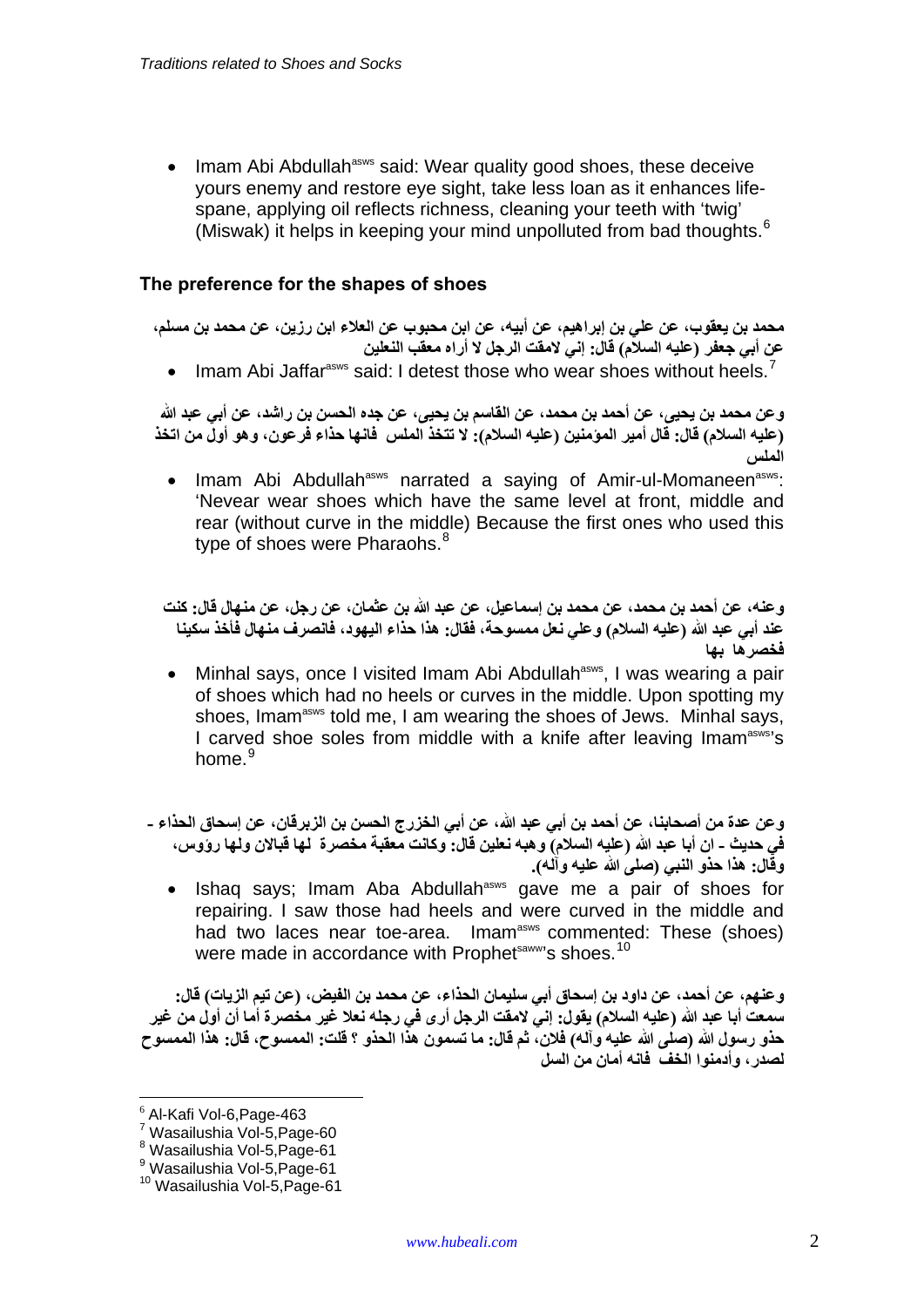• Imam Abi Abdullah<sup>asws</sup> said: Wear quality good shoes, these deceive yours enemy and restore eye sight, take less loan as it enhances lifespane, applying oil reflects richness, cleaning your teeth with 'twig' (Miswak) it helps in keeping your mind unpolluted from bad thoughts.<sup>[6](#page-1-0)</sup>

### **The preference for the shapes of shoes**

محمد بن يعقوب، عن على بن إبراهيم، عن أبيه، عن ابن محبوب عن العلاء ابن رزين، عن محمد بن مسلم، **عن أبي جعفر (عليه السالم) قال: إني المقت الرجل ال أراه معقب النعلين**

• Imam Abi Jaffar<sup>asws</sup> said: I detest those who wear shoes without heels.<sup>[7](#page-1-1)</sup>

و عن محمد بن يحيى، عن أحمد بن محمد، عن القاسم بن يحيى، عن جده الحسن بن راشد، عن أبي عبد الله (عليه السلام) قال: قال أمير المؤمنين (عليه السلام): لا تتخذ الملس فانها حذاء فرعون، وهو أولّ من اتخذ **الملس**

Imam Abi Abdullah<sup>asws</sup> narrated a saying of Amir-ul-Momaneen<sup>asws</sup>: 'Nevear wear shoes which have the same level at front, middle and rear (without curve in the middle) Because the first ones who used this type of shoes were Pharaohs.<sup>[8](#page-1-2)</sup>

وعنه، عن أحمد بن محمد، عن محمد بن إسماعيل، عن عبد الله بن عثمان، عن رجل، عن منـهال قال: كنت عند أبي عبد الله (عليه السلام) وعلى نعل ممسوحة، فقال: هذا حذاء اليهود، فانصرف منهال فأخذ سكينـا **فخصرھا بھا** 

• Minhal says, once I visited Imam Abi Abdullah<sup>asws</sup>, I was wearing a pair of shoes which had no heels or curves in the middle. Upon spotting my shoes, Imam<sup>asws</sup> told me, I am wearing the shoes of Jews. Minhal says, I carved shoe soles from middle with a knife after leaving Imam<sup>asws'</sup>s home.<sup>[9](#page-1-3)</sup>

و عن عدة من أصحابنـا، عن أحمد بن أبي عبد الله، عن أبي الخزرج الحسن بن الزبرقان، عن إسحاق الحذاء -في حديث ـ ان أبا عبد الله (عليه السلام) وهبه نعلين قال: وكانت معقبة مخصرة لـها قبالان ولـها روَّوس، **وقال: ھذا حذو النبي (صلى الله عليه وآله).**

• Ishaq says; Imam Aba Abdullah<sup>asws</sup> gave me a pair of shoes for repairing. I saw those had heels and were curved in the middle and had two laces near toe-area. Imam<sup>asws</sup> commented: These (shoes) were made in accordance with Prophet<sup>saww</sup>'s shoes.<sup>[10](#page-1-4)</sup>

و عنهم، عن أحمد، عن داود بن إسحاق أبي سليمان الحذاء، عن محمد بن الفيض، (عن تيم الزيات) قال: سمعت أبا عبد الله (عليه السلام) يقول: إنيَّ لامقت الرجل أرى في رجله نعلا غير مخصرة أما أن أول من غير حذو رسول الله (صلى الله عليه وآله) فلان، ثم قال: ما تسمون هذا الحذو ؟ قلت: الممسوح، قال: هذا الممسوح **لصدر، وأدمنوا الخف فانه أمان من السل**

<span id="page-1-1"></span><span id="page-1-0"></span><sup>6</sup> Al-Kafi Vol-6,Page-463

<sup>7</sup> Wasailushia Vol-5,Page-60

<span id="page-1-2"></span><sup>8</sup> Wasailushia Vol-5,Page-61

<sup>9</sup> Wasailushia Vol-5,Page-61

<span id="page-1-4"></span><span id="page-1-3"></span><sup>10</sup> Wasailushia Vol-5,Page-61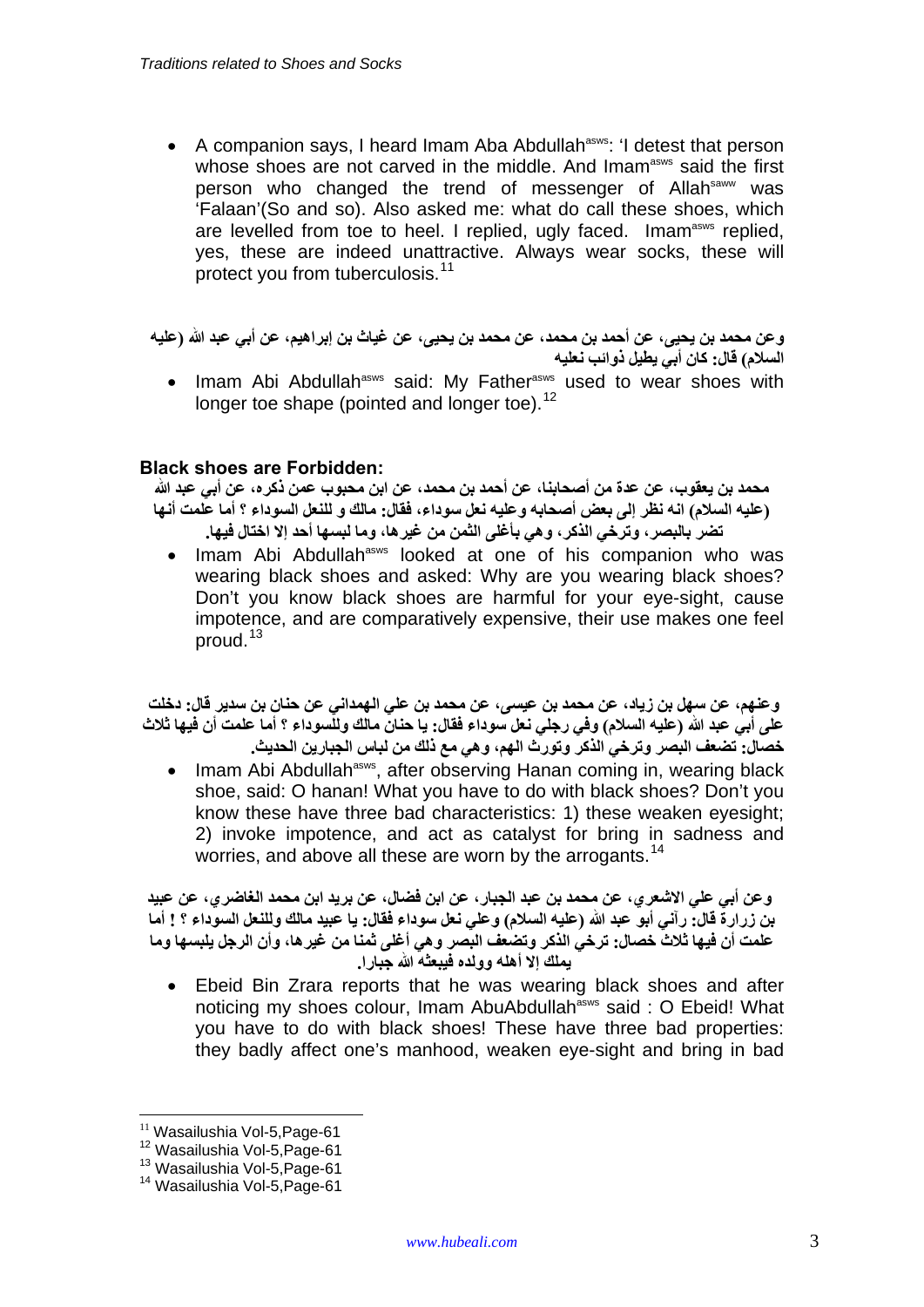• A companion says, I heard Imam Aba Abdullah<sup>asws</sup>: 'I detest that person whose shoes are not carved in the middle. And Imam<sup>asws</sup> said the first person who changed the trend of messenger of Allahsaww was 'Falaan'(So and so). Also asked me: what do call these shoes, which are levelled from toe to heel. I replied, ugly faced. Imam<sup>asws</sup> replied, yes, these are indeed unattractive. Always wear socks, these will protect you from tuberculosis.<sup>[11](#page-2-0)</sup>

و عن محمد بن يحيى، عن أحمد بن محمد، عن محمد بن يحيى، عن غياث بن إبراهيم، عن أبي عبد الله (عليه **السالم) قال: كان أبي يطيل ذوائب نعليه**

• Imam Abi Abdullah<sup>asws</sup> said: My Father<sup>asws</sup> used to wear shoes with longer toe shape (pointed and longer toe).<sup>[12](#page-2-1)</sup>

#### **Black shoes are Forbidden:**

محمد بن يعقوب، عن عدة من أصحابنـا، عن أحمد بن محمد، عن ابن محبوب عمن ذكر ه، عن أبي عبد الله (عليه السلام) انه نظر إلى بعض أصحابه وعليه نعل سوداء، فقال: مالك و للنعل السوداء ؟ أما علمت أنها **تضر بالبصر، وترخي الذكر، وھي بأغلى الثمن من غيرھا، وما لبسھا أحد إال اختال فيھا.**

Imam Abi Abdullah<sup>asws</sup> looked at one of his companion who was wearing black shoes and asked: Why are you wearing black shoes? Don't you know black shoes are harmful for your eye-sight, cause impotence, and are comparatively expensive, their use makes one feel proud.<sup>[13](#page-2-2)</sup>

وعنهم، عن سهل بن زياد، عن محمد بن عيسى، عن محمد بن على الهمداني عن حنان بن سدير قال: دخلت على أبي عبد الله (عليه السلام) وفي رجلي نعل سوداء فقال: يا حنانٌ مالك وللسوداء ؟ أما علمت أن فيها ثلاث **خصال: تضعف البصر وترخي الذكر وتورث الھم، وھي مع ذلك من لباس الجبارين الحديث .** 

• Imam Abi Abdullah<sup>asws</sup>, after observing Hanan coming in, wearing black shoe, said: O hanan! What you have to do with black shoes? Don't you know these have three bad characteristics: 1) these weaken eyesight; 2) invoke impotence, and act as catalyst for bring in sadness and worries, and above all these are worn by the arrogants.<sup>[14](#page-2-3)</sup>

**وعن أبي علي االشعري، عن محمد بن عبد الجبار، عن ابن فضال، عن بريد ابن محمد الغاضري، عن عبيد** بن زرارة قال: رآني أبو عبد الله (عليه السلام) وعلى نعل سوداء فقال: يا عبيد مالك وللنعل السوداء ؟ ! أما **علمت أن فيھا ثالث خصال: ترخي الذكر وتضعف البصر وھي أغلى ثمنا من غيرھا، وأن الرجل يلبسھا وما يملك إال أھله وولده فيبعثه الله جبارا.** 

• Ebeid Bin Zrara reports that he was wearing black shoes and after noticing my shoes colour, Imam AbuAbdullah<sup>asws</sup> said : O Ebeid! What you have to do with black shoes! These have three bad properties: they badly affect one's manhood, weaken eye-sight and bring in bad

1

<span id="page-2-1"></span><span id="page-2-0"></span><sup>&</sup>lt;sup>11</sup> Wasailushia Vol-5,Page-61<br><sup>12</sup> Wasailushia Vol-5,Page-61<br><sup>13</sup> Wasailushia Vol-5,Page-61<br><sup>14</sup> Wasailushia Vol-5.Page-61

<span id="page-2-2"></span>

<span id="page-2-3"></span>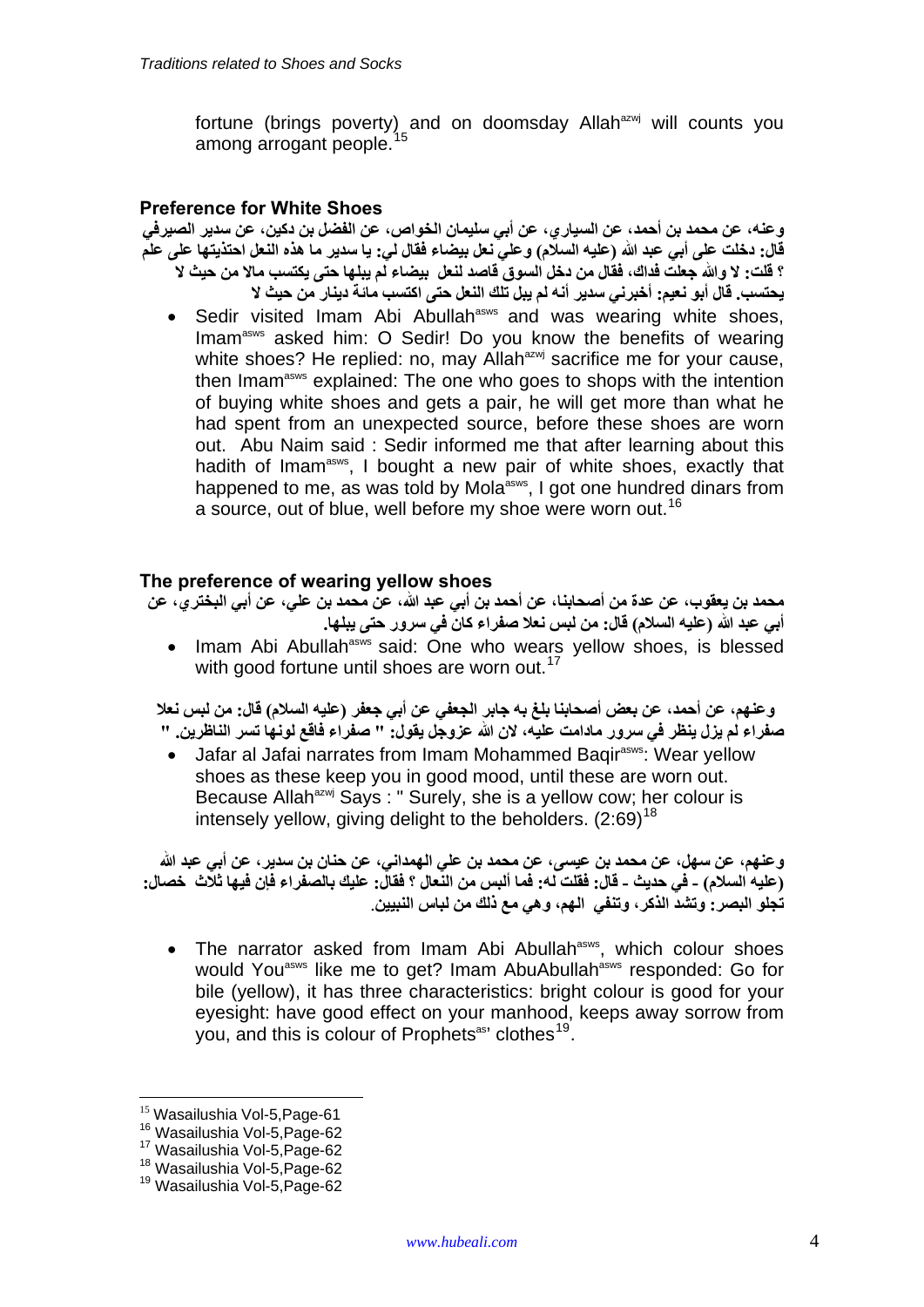fortune (brings poverty) and on doomsday Allah<sup>azwj</sup> will counts you among arrogant people.<sup>15</sup>

### **Preference for White Shoes**

**وعنه، عن محمد بن أحمد، عن السياري، عن أبي سليمان الخواص، عن الفضل بن دكين، عن سدير الصيرفي** قال: دخلت على أبي عبد الله (عليه السلام) وعلى نعل بيضاء فقال لي: يا سدير ما هذه النعل احتذيتها على علم ؟ فلت: لا والله جعلت فداك، فقال من دخل السوق قاصد لنعل بيضاء لم يبلها حتى يكتسب مالا من حيث لا **يحتسب. قال أبو نعيم: أخبرني سدير أنه لم يبل تلك النعل حتى اكتسب مائة دينار من حيث ال**

• Sedir visited Imam Abi Abullah<sup>asws</sup> and was wearing white shoes, Imam<sup>asws</sup> asked him: O Sedir! Do you know the benefits of wearing white shoes? He replied: no, may Allah<sup>azwj</sup> sacrifice me for your cause, then Imam<sup>asws</sup> explained: The one who goes to shops with the intention of buying white shoes and gets a pair, he will get more than what he had spent from an unexpected source, before these shoes are worn out. Abu Naim said : Sedir informed me that after learning about this hadith of Imam<sup>asws</sup>, I bought a new pair of white shoes, exactly that happened to me, as was told by Mola<sup>asws</sup>, I got one hundred dinars from a source, out of blue, well before my shoe were worn out.<sup>[16](#page-3-0)</sup>

#### **The preference of wearing yellow shoes**

محمد بن يعقوب، عن عدة من أصحابنـا، عن أحمد بن أبي عبد الله، عن محمد بن علي، عن أبي البختر ي، عن **أبي عبد الله (عليه السالم) قال: من لبس نعال صفراء كان في سرور حتى يبلھا.**

• Imam Abi Abullah<sup>asws</sup> said: One who wears yellow shoes, is blessed with good fortune until shoes are worn out.<sup>[17](#page-3-1)</sup>

وعنهم، عن أحمد، عن بعض أصحابنا بلغ به جابر الجعفي عن أبي جعفر (عليه السلام) قال: من لبس نعلا صفراء لم يزل ينظر في سرور مادامت عليه، لان الله عزوجل يقول: " صفراء فاقع لونها تسر الناظرين. "

• Jafar al Jafai narrates from Imam Mohammed Bagir<sup>asws</sup>: Wear yellow shoes as these keep you in good mood, until these are worn out. Because Allah<sup>azwj</sup> Says : " Surely, she is a yellow cow; her colour is intensely yellow, giving delight to the beholders.  $(2:69)^{18}$  $(2:69)^{18}$  $(2:69)^{18}$ 

وعنهم، عن سهل، عن محمد بن عيسى، عن محمد بن على الهمداني، عن حنان بن سدير ، عن أبي عبد الله (عليه السلام) - في حديث - قال: فقلت له: فما ألبس من النِّعال ؟ فقال: عليك بالصفر اء فإن فيها ثلاَّث خصال: **تجلو البصر: وتشد الذكر، وتنفي الھم، وھي مع ذلك من لباس النبيين** .

• The narrator asked from Imam Abi Abullah<sup>asws</sup>, which colour shoes would You<sup>asws</sup> like me to get? Imam AbuAbullah<sup>asws</sup> responded: Go for bile (yellow), it has three characteristics: bright colour is good for your eyesight: have good effect on your manhood, keeps away sorrow from you, and this is colour of Prophets<sup>as</sup>' clothes<sup>[19](#page-3-3)</sup>.

<span id="page-3-1"></span>

<span id="page-3-0"></span><sup>&</sup>lt;sup>15</sup> Wasailushia Vol-5,Page-61<br><sup>16</sup> Wasailushia Vol-5,Page-62<br><sup>17</sup> Wasailushia Vol-5,Page-62<br><sup>18</sup> Wasailushia Vol-5,Page-62<br><sup>19</sup> Wasailushia Vol-5,Page-62

<span id="page-3-3"></span><span id="page-3-2"></span>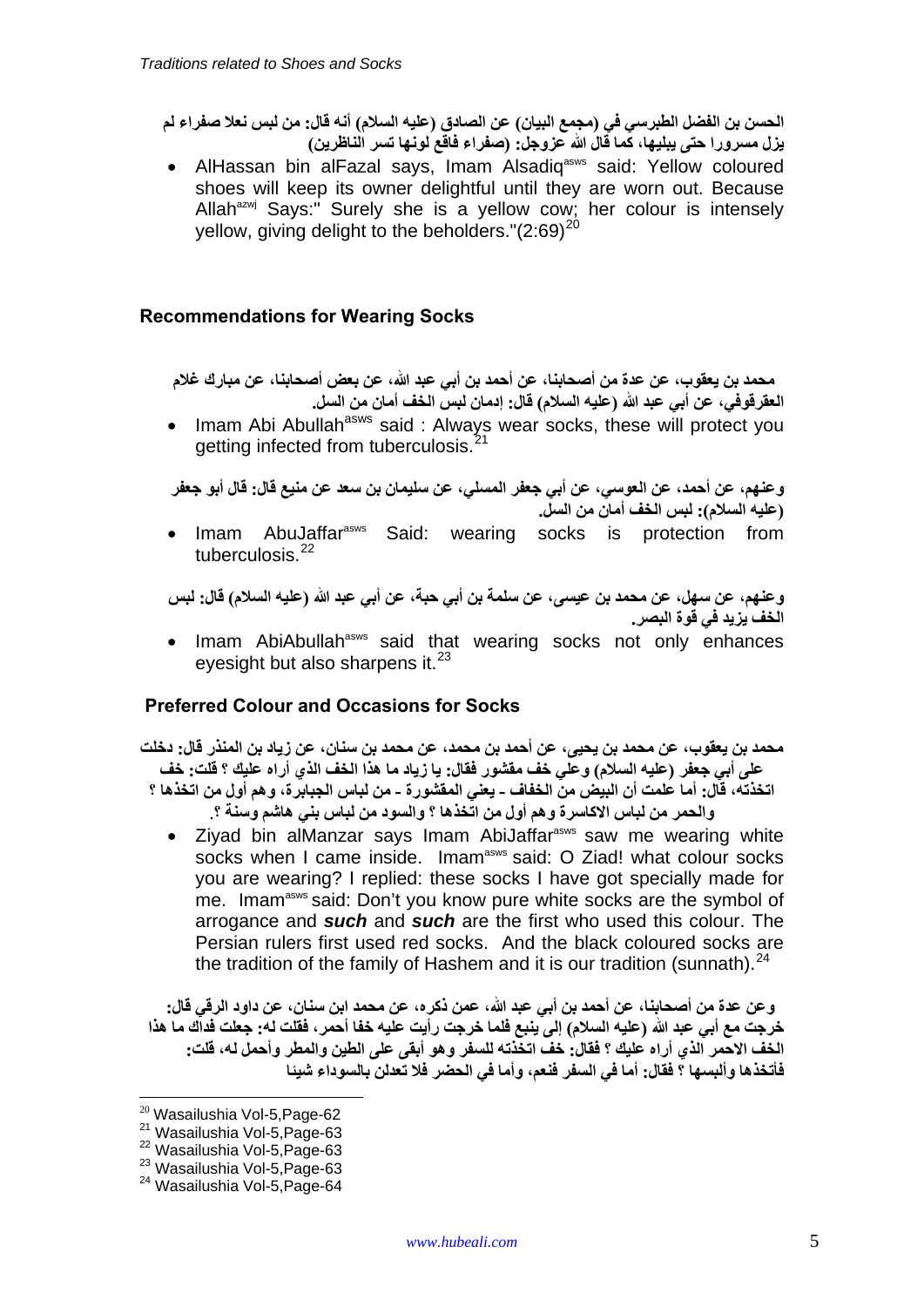الحسن بن الفضل الطبرسي في (مجمع البيان) عن الصادق (عليه السلام) أنه قال: من لبس نعلا صفراء لم **يزل مسرورا حتى يبليھا، كما قال الله عزوجل: (صفراء فاقع لونھا تسر الناظرين )** 

• AlHassan bin alFazal says, Imam Alsadig<sup>asws</sup> said: Yellow coloured shoes will keep its owner delightful until they are worn out. Because Allah<sup>azwj</sup> Says:" Surely she is a yellow cow; her colour is intensely vellow, giving delight to the beholders." $(2.69)^{20}$  $(2.69)^{20}$  $(2.69)^{20}$ 

# **Recommendations for Wearing Socks**

 **محمد بن يعقوب، عن عدة من أصحابنا، عن أحمد بن أبي عبد الله، عن بعض أصحابنا، عن مبارك غالم العقرقوفي، عن أبي عبد الله (عليه السالم) قال: إدمان لبس الخف أمان من السل .** 

• Imam Abi Abullah<sup>asws</sup> said : Always wear socks, these will protect you getting infected from tuberculosis.<sup>[21](#page-4-1)</sup>

و عنهم، عن أحمد، عن العوسى، عن أبي جعفر المسلى، عن سليمان بن سعد عن منيع قال: قال أبو جعفر **(عليه السالم): لبس الخف أمان من السل .**

• Imam AbuJaffar<sup>asws</sup> Said: wearing socks is protection from tuberculosis.<sup>[22](#page-4-2)</sup>

وعنهم، عن سهل، عن محمد بن عيسى، عن سلمة بن أبي حبة، عن أبي عبد الله (عليه السلام) قال: لبس **الخف يزيد في قوة البصر.**

• Imam AbiAbullah<sup>asws</sup> said that wearing socks not only enhances eyesight but also sharpens it. $^{23}$  $^{23}$  $^{23}$ 

#### **Preferred Colour and Occasions for Socks**

محمد بن يعقوب، عن محمد بن يحيى، عن أحمد بن محمد، عن محمد بن سنان، عن زياد بن المنذر قال: دخلت على أبي جعفر (عليه السلام) وعلَّى خف مقشور فقال: يا زياد ما هذا الخف الذي أراه عليك ؟ قلت: خف اتخذته، قال: أما علمت أن البيض من الخفاف ـ يعني المقشورة ـ من لباس الجبابرة، وهم أول من اتخذها ؟ **والحمر من لباس االكاسرة وھم أول من اتخذھا ؟ والسود من لباس بني ھاشم وسنة ؟** .

• Ziyad bin alManzar says Imam AbiJaffar<sup>asws</sup> saw me wearing white socks when I came inside. Imam<sup>asws</sup> said: O Ziad! what colour socks you are wearing? I replied: these socks I have got specially made for me. Imam<sup>asws</sup> said: Don't you know pure white socks are the symbol of arrogance and *such* and *such* are the first who used this colour. The Persian rulers first used red socks. And the black coloured socks are the tradition of the family of Hashem and it is our tradition (sunnath).  $24$ 

وعن عدة من أصحابنـا، عن أحمد بن أبي عبد الله، عمن ذكره، عن محمد ابن سنـان، عن داود الرقي قال: خرجت مع أبي عبد الله (عليه السلام) إلى ينبع فلما خرجت رأيت عليه خفا أحمر ، فقلت له: جعلت فداَّك ما هذا الْخَفْ الاحْمر الّذي أراه عَليك ؟ فقال: خفّ اتخّذته للسفر وهو أبقى على الطين والمطر وأحمل له، قلت: **فأتخذھا وألبسھا ؟ فقال: أما في السفر فنعم، وأما في الحضر فال تعدلن بالسوداء شيئا**

<span id="page-4-2"></span>

<span id="page-4-1"></span><span id="page-4-0"></span><sup>&</sup>lt;sup>20</sup> Wasailushia Vol-5,Page-62<br><sup>21</sup> Wasailushia Vol-5,Page-63<br><sup>22</sup> Wasailushia Vol-5,Page-63<br><sup>23</sup> Wasailushia Vol-5,Page-64<br><sup>24</sup> Wasailushia Vol-5,Page-64

<span id="page-4-4"></span><span id="page-4-3"></span>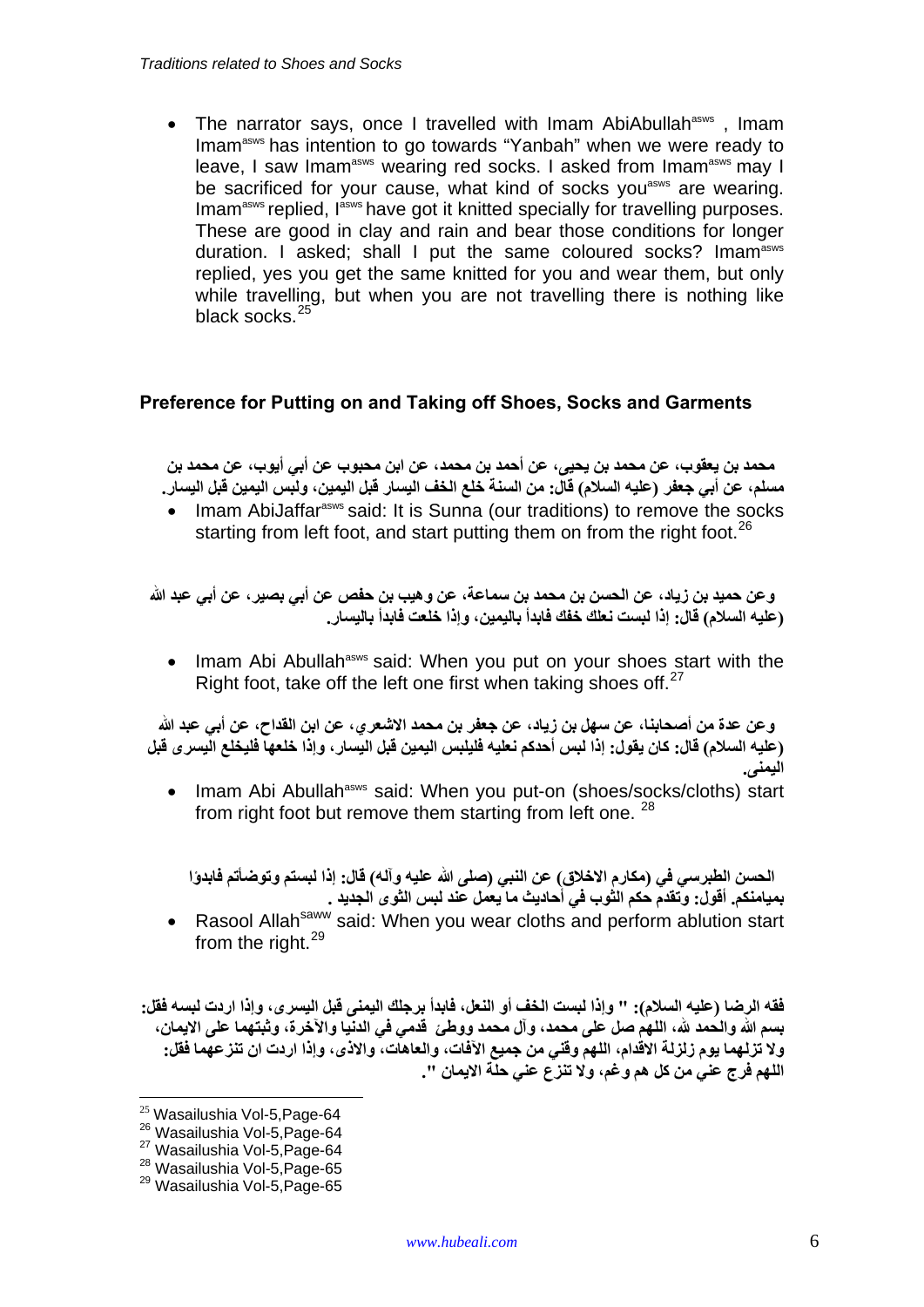• The narrator says, once I travelled with Imam AbiAbullah<sup>asws</sup>, Imam Imam<sup>asws</sup> has intention to go towards "Yanbah" when we were ready to leave, I saw Imam<sup>asws</sup> wearing red socks. I asked from Imam<sup>asws</sup> may I be sacrificed for your cause, what kind of socks you<sup>asws</sup> are wearing. Imam<sup>asws</sup> replied, I<sup>asws</sup> have got it knitted specially for travelling purposes. These are good in clay and rain and bear those conditions for longer duration. I asked: shall I put the same coloured socks? Imam<sup>asws</sup> replied, yes you get the same knitted for you and wear them, but only while travelling, but when you are not travelling there is nothing like black socks.<sup>[25](#page-5-0)</sup>

# **Preference for Putting on and Taking off Shoes, Socks and Garments**

ِ محمد بن يعقوب، عن محمد بن يحيى، عن أحمد بن محمد، عن ابن محبوب عن أبي أيوب، عن محمد بن مسلم، عن أبي جعفر (عليه السلام) قال: من السنة خلع الخف اليسار قبل اليمين، ولبِّس اليمين قبل اليسار.

• Imam AbiJaffar<sup>asws</sup> said: It is Sunna (our traditions) to remove the socks starting from left foot, and start putting them on from the right foot.<sup>[26](#page-5-1)</sup>

و عن حميد بن زياد، عن الحسن بن محمد بن سماعة، عن وهيب بن حفص عن أبي بصير ، عن أبي عبد الله **(عليه السالم) قال: إذا لبست نعلك خفك فابدأ باليمين، وإذا خلعت فابدأ باليسار .**

• Imam Abi Abullah<sup>asws</sup> said: When you put on your shoes start with the Right foot, take off the left one first when taking shoes off.<sup>[27](#page-5-2)</sup>

وعن عدة من أصحابنـا، عن سهل بن زيـاد، عن جعفر بن محمد الاشـعر ي، عن ابن القداح، عن أبـي عبد الله (عليه السلام) قال: كان يقول: إذا لبس أحدكم نعليه فليلبس اليمين قبل اليسار ، وإذا خلعها فليخلع اليسر ي قبل **اليمنى .**

• Imam Abi Abullah<sup>asws</sup> said: When you put-on (shoes/socks/cloths) start from right foot but remove them starting from left one.  $28$ 

الحسن الطبرسي في (مكارم الإخلاق) عن النبي (صلى الله عليه وآله) قال: إذا لبستم وتوضأتم فابدوًا **بميامنكم. أقول: وتقدم حكم الثوب في أحاديث ما يعمل عند لبس الثوى الجديد .**

• Rasool Allah<sup>saww</sup> said: When you wear cloths and perform ablution start from the right.<sup>[29](#page-5-4)</sup>

فقه الرضا (عليه السلام): " وإذا لبست الخف أو النعل، فابدأ برجلك اليمني قبل اليسرى، وإذا اردت لبسه فقل: بسم الله والحمد لله، اللهم صل على محمد، وآل محمد ووطئ قدمي في الدنيا والآخرة، وثبتهما على الايمان، ولا تزلهما يوم زلزلة الاقدام، اللهم وقني من جميع الآفات، والعاهات، والاذي، وإذا اردت ان تنز عهما فقل: **اللھم فرج عني من كل ھم وغم، وال تنزع عني حلة االيمان ".**

<span id="page-5-3"></span><span id="page-5-2"></span>

<span id="page-5-1"></span><span id="page-5-0"></span><sup>&</sup>lt;sup>25</sup> Wasailushia Vol-5,Page-64<br><sup>26</sup> Wasailushia Vol-5,Page-64<br><sup>27</sup> Wasailushia Vol-5,Page-64<br><sup>28</sup> Wasailushia Vol-5,Page-65<br><sup>29</sup> Wasailushia Vol-5,Page-65

<span id="page-5-4"></span>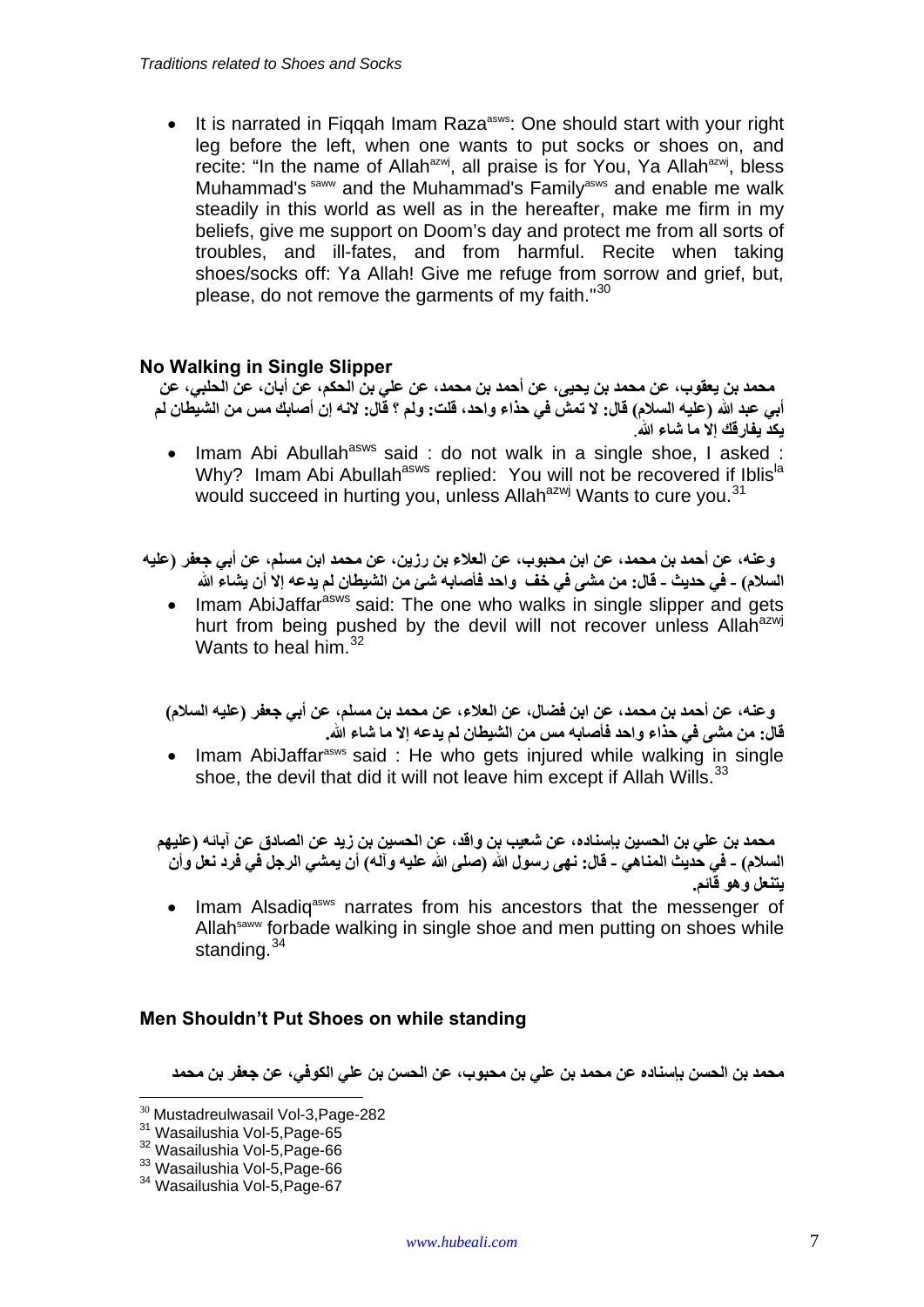• It is narrated in Figgah Imam Raza<sup>asws</sup>: One should start with your right leg before the left, when one wants to put socks or shoes on, and recite: "In the name of Allah<sup>azwj</sup>, all praise is for You, Ya Allah<sup>azwj</sup>, bless Muhammad's saww and the Muhammad's Family<sup>asws</sup> and enable me walk steadily in this world as well as in the hereafter, make me firm in my beliefs, give me support on Doom's day and protect me from all sorts of troubles, and ill-fates, and from harmful. Recite when taking shoes/socks off: Ya Allah! Give me refuge from sorrow and grief, but, please, do not remove the garments of my faith."<sup>[30](#page-6-0)</sup>

# **No Walking in Single Slipper**

محمد بن يعقوب، عن محمد بن يحيى، عن أحمد بن محمد، عن علي بن الحكم، عن أبان، عن الحلبي، عن أبي عبد الله (عليه السلام) قال: لا تمشَّ في حذاء واحد، قلت: ولم ؟ قَال: لانه إن أصابك مس من الشيطان لم **يكد يفارقك إال ما شاء الله** .

• Imam Abi Abullah<sup>asws</sup> said : do not walk in a single shoe, I asked : Why? Imam Abi Abullah<sup>asws</sup> replied: You will not be recovered if Iblis<sup>la</sup> would succeed in hurting you, unless Allah<sup>azwj</sup> Wants to cure you.<sup>[31](#page-6-1)</sup>

وعنه، عن أحمد بن محمد، عن ابن محبوب، عن العلاء بن رزين، عن محمد ابن مسلم، عن أبي جعفر (عليه السلام) ـ في حديث ـ قال: من مشي في خف واحد فأصابه شيٍّ من الشيطان لم يدعه إلا أن يشاء الله

• Imam AbiJaffar<sup>asws</sup> said: The one who walks in single slipper and gets hurt from being pushed by the devil will not recover unless Allah<sup>azwj</sup> Wants to heal him.  $32$ 

ورعنه، عن أحمد بن محمد، عن ابن فضال، عن العلاء، عن محمد بن مسلم، عن أبي جعفر (عليه السلام) **قال: من مشى في حذاء واحد فأصابه مس من الشيطان لم يدعه إال ما شاء الله .** 

• Imam AbiJaffar<sup>asws</sup> said: He who gets injured while walking in single shoe, the devil that did it will not leave him except if Allah Wills.<sup>[33](#page-6-3)</sup>

محمد بن علي بن الحسين باسناده، عن شعيب بن واقد، عن الحسين بن زيد عن الصادق عن آبائه (عليهم السلام) - في حديث المناهي - قال: نهي رسول الله (صلى الله عليه وآله) أن يمشى الرجل في فرد نعل وأن **يتنعل وھو قائم .** 

• Imam Alsadiq<sup>asws</sup> narrates from his ancestors that the messenger of Allah<sup>saww</sup> forbade walking in single shoe and men putting on shoes while standing.<sup>[34](#page-6-4)</sup>

#### **Men Shouldn't Put Shoes on while standing**

**محمد بن الحسن بإسناده عن محمد بن علي بن محبوب، عن الحسن بن علي الكوفي، عن جعفر بن محمد**

<span id="page-6-1"></span><span id="page-6-0"></span><sup>&</sup>lt;sup>30</sup> Mustadreulwasail Vol-3,Page-282<br><sup>31</sup> Wasailushia Vol-5,Page-65<br><sup>32</sup> Wasailushia Vol-5,Page-66<br><sup>33</sup> Wasailushia Vol-5,Page-66<br><sup>34</sup> Wasailushia Vol-5,Page-67

<span id="page-6-3"></span><span id="page-6-2"></span>

<span id="page-6-4"></span>